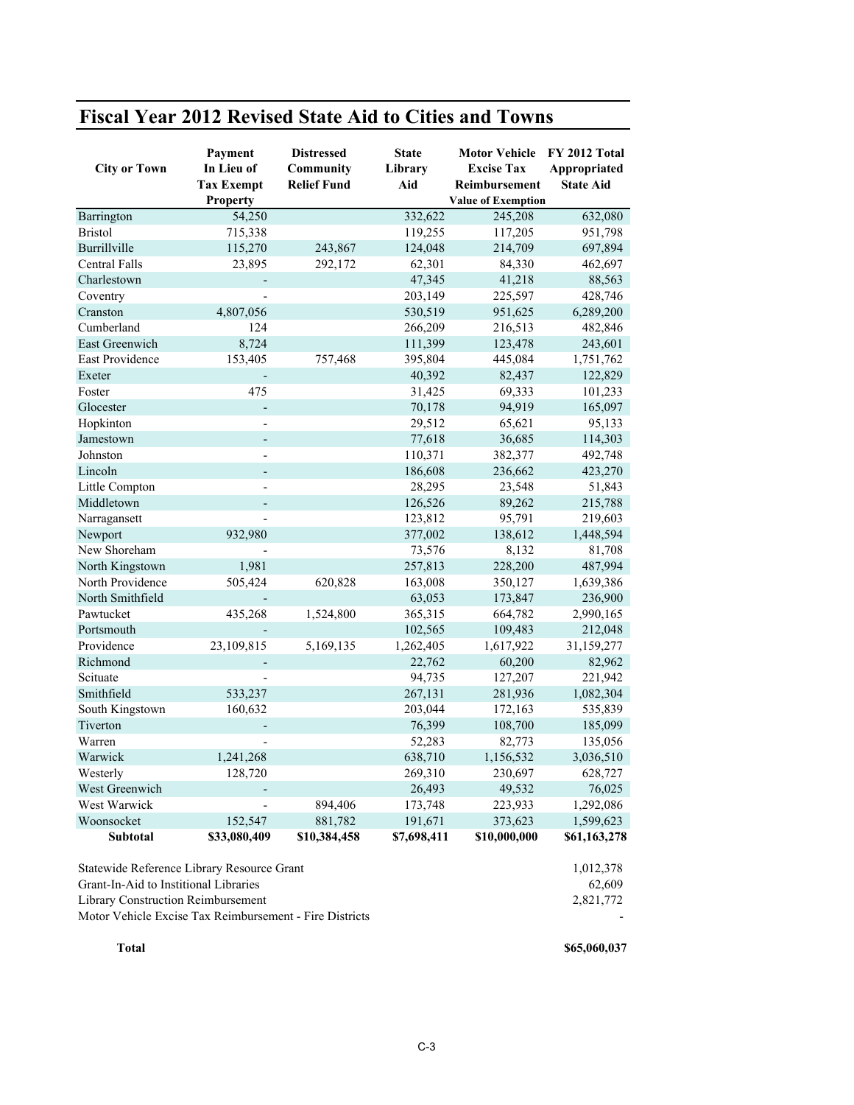| <b>City or Town</b>  | Payment<br>In Lieu of<br><b>Tax Exempt</b><br>Property | <b>Distressed</b><br>Community<br><b>Relief Fund</b> | <b>State</b><br>Library<br>Aid | <b>Motor Vehicle</b><br><b>Excise Tax</b><br>Reimbursement<br><b>Value of Exemption</b> | FY 2012 Total<br>Appropriated<br><b>State Aid</b> |
|----------------------|--------------------------------------------------------|------------------------------------------------------|--------------------------------|-----------------------------------------------------------------------------------------|---------------------------------------------------|
| Barrington           | 54,250                                                 |                                                      | 332,622                        | 245,208                                                                                 | 632,080                                           |
| <b>Bristol</b>       | 715,338                                                |                                                      | 119,255                        | 117,205                                                                                 | 951,798                                           |
| Burrillville         | 115,270                                                | 243,867                                              | 124,048                        | 214,709                                                                                 | 697,894                                           |
| <b>Central Falls</b> | 23,895                                                 | 292,172                                              | 62,301                         | 84,330                                                                                  | 462,697                                           |
| Charlestown          |                                                        |                                                      | 47,345                         | 41,218                                                                                  | 88,563                                            |
| Coventry             |                                                        |                                                      | 203,149                        | 225,597                                                                                 | 428,746                                           |
| Cranston             | 4,807,056                                              |                                                      | 530,519                        | 951,625                                                                                 | 6,289,200                                         |
| Cumberland           | 124                                                    |                                                      | 266,209                        | 216,513                                                                                 | 482,846                                           |
| East Greenwich       | 8,724                                                  |                                                      | 111,399                        | 123,478                                                                                 | 243,601                                           |
| East Providence      | 153,405                                                | 757,468                                              | 395,804                        | 445,084                                                                                 | 1,751,762                                         |
| Exeter               |                                                        |                                                      | 40,392                         | 82,437                                                                                  | 122,829                                           |
| Foster               | 475                                                    |                                                      | 31,425                         | 69,333                                                                                  | 101,233                                           |
| Glocester            | ÷,                                                     |                                                      | 70,178                         | 94,919                                                                                  | 165,097                                           |
| Hopkinton            |                                                        |                                                      | 29,512                         | 65,621                                                                                  | 95,133                                            |
| Jamestown            | $\overline{a}$                                         |                                                      | 77,618                         | 36,685                                                                                  | 114,303                                           |
| Johnston             |                                                        |                                                      | 110,371                        | 382,377                                                                                 | 492,748                                           |
| Lincoln              | $\overline{a}$                                         |                                                      | 186,608                        | 236,662                                                                                 | 423,270                                           |
| Little Compton       |                                                        |                                                      | 28,295                         | 23,548                                                                                  | 51,843                                            |
| Middletown           |                                                        |                                                      | 126,526                        | 89,262                                                                                  | 215,788                                           |
| Narragansett         |                                                        |                                                      | 123,812                        | 95,791                                                                                  | 219,603                                           |
| Newport              | 932,980                                                |                                                      | 377,002                        | 138,612                                                                                 | 1,448,594                                         |
| New Shoreham         |                                                        |                                                      | 73,576                         | 8,132                                                                                   | 81,708                                            |
| North Kingstown      | 1,981                                                  |                                                      | 257,813                        | 228,200                                                                                 | 487,994                                           |
| North Providence     | 505,424                                                | 620,828                                              | 163,008                        | 350,127                                                                                 | 1,639,386                                         |
| North Smithfield     |                                                        |                                                      | 63,053                         | 173,847                                                                                 | 236,900                                           |
| Pawtucket            | 435,268                                                | 1,524,800                                            | 365,315                        | 664,782                                                                                 | 2,990,165                                         |
| Portsmouth           |                                                        |                                                      | 102,565                        | 109,483                                                                                 | 212,048                                           |
| Providence           | 23,109,815                                             | 5,169,135                                            | 1,262,405                      | 1,617,922                                                                               | 31,159,277                                        |
| Richmond             |                                                        |                                                      | 22,762                         | 60,200                                                                                  | 82,962                                            |
| Scituate             |                                                        |                                                      | 94,735                         | 127,207                                                                                 | 221,942                                           |
| Smithfield           | 533,237                                                |                                                      | 267,131                        | 281,936                                                                                 | 1,082,304                                         |
| South Kingstown      | 160,632                                                |                                                      | 203,044                        | 172,163                                                                                 | 535,839                                           |
| Tiverton             |                                                        |                                                      | 76,399                         | 108,700                                                                                 | 185,099                                           |
| Warren               |                                                        |                                                      | 52,283                         | 82,773                                                                                  | 135,056                                           |
| Warwick              | 1,241,268                                              |                                                      | 638,710                        | 1,156,532                                                                               | 3,036,510                                         |
| Westerly             | 128,720                                                |                                                      | 269,310                        | 230,697                                                                                 | 628,727                                           |
| West Greenwich       | $\overline{a}$                                         |                                                      | 26,493                         | 49,532                                                                                  | 76,025                                            |
| West Warwick         |                                                        | 894,406                                              | 173,748                        | 223,933                                                                                 | 1,292,086                                         |
| Woonsocket           | 152,547                                                | 881,782                                              | 191,671                        | 373,623                                                                                 | 1,599,623                                         |
| <b>Subtotal</b>      | \$33,080,409                                           | \$10,384,458                                         | \$7,698,411                    | \$10,000,000                                                                            | \$61,163,278                                      |

## **Fiscal Year 2012 Revised State Aid to Cities and Towns**

Statewide Reference Library Resource Grant 1,012,378 Grant-In-Aid to Institional Libraries 62,609 Library Construction Reimbursement 2,821,772 Motor Vehicle Excise Tax Reimbursement - Fire Districts -

**Total \$65,060,037**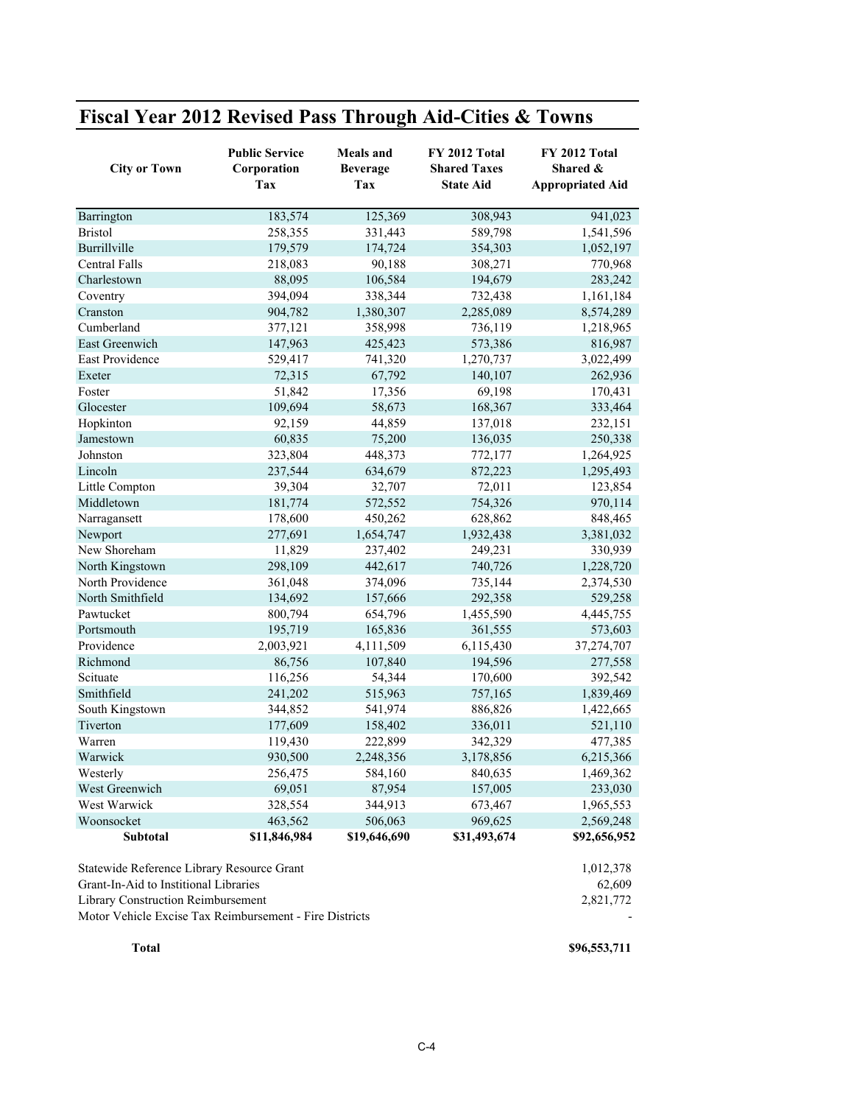| Fiscal Year 2012 Revised Pass Through Aid-Cities & Towns |
|----------------------------------------------------------|
|----------------------------------------------------------|

| <b>City or Town</b>                        | <b>Public Service</b><br>Corporation<br>Tax | <b>Meals</b> and<br><b>Beverage</b><br>Tax | <b>FY 2012 Total</b><br><b>Shared Taxes</b><br><b>State Aid</b> | <b>FY 2012 Total</b><br>Shared &<br><b>Appropriated Aid</b> |
|--------------------------------------------|---------------------------------------------|--------------------------------------------|-----------------------------------------------------------------|-------------------------------------------------------------|
| Barrington                                 | 183,574                                     | 125,369                                    | 308,943                                                         | 941,023                                                     |
| <b>Bristol</b>                             | 258,355                                     | 331,443                                    | 589,798                                                         | 1,541,596                                                   |
| Burrillville                               | 179,579                                     | 174,724                                    | 354,303                                                         | 1,052,197                                                   |
| Central Falls                              | 218,083                                     | 90,188                                     | 308,271                                                         | 770,968                                                     |
| Charlestown                                | 88,095                                      | 106,584                                    | 194,679                                                         | 283,242                                                     |
| Coventry                                   | 394,094                                     | 338,344                                    | 732,438                                                         | 1,161,184                                                   |
| Cranston                                   | 904,782                                     | 1,380,307                                  | 2,285,089                                                       | 8,574,289                                                   |
| Cumberland                                 | 377,121                                     | 358,998                                    | 736,119                                                         | 1,218,965                                                   |
| East Greenwich                             | 147,963                                     | 425,423                                    | 573,386                                                         | 816,987                                                     |
| East Providence                            | 529,417                                     | 741,320                                    | 1,270,737                                                       | 3,022,499                                                   |
| Exeter                                     | 72,315                                      | 67,792                                     | 140,107                                                         | 262,936                                                     |
| Foster                                     | 51,842                                      | 17,356                                     | 69,198                                                          | 170,431                                                     |
| Glocester                                  | 109,694                                     | 58,673                                     | 168,367                                                         | 333,464                                                     |
| Hopkinton                                  | 92,159                                      | 44,859                                     | 137,018                                                         | 232,151                                                     |
| Jamestown                                  | 60,835                                      | 75,200                                     | 136,035                                                         | 250,338                                                     |
| Johnston                                   | 323,804                                     | 448,373                                    | 772,177                                                         | 1,264,925                                                   |
| Lincoln                                    | 237,544                                     | 634,679                                    | 872,223                                                         | 1,295,493                                                   |
| Little Compton                             | 39,304                                      | 32,707                                     | 72,011                                                          | 123,854                                                     |
| Middletown                                 | 181,774                                     | 572,552                                    | 754,326                                                         | 970,114                                                     |
| Narragansett                               | 178,600                                     | 450,262                                    | 628,862                                                         | 848,465                                                     |
| Newport                                    | 277,691                                     | 1,654,747                                  | 1,932,438                                                       | 3,381,032                                                   |
| New Shoreham                               | 11,829                                      | 237,402                                    | 249,231                                                         | 330,939                                                     |
| North Kingstown                            | 298,109                                     | 442,617                                    | 740,726                                                         | 1,228,720                                                   |
| North Providence                           | 361,048                                     | 374,096                                    | 735,144                                                         | 2,374,530                                                   |
| North Smithfield                           | 134,692                                     | 157,666                                    | 292,358                                                         | 529,258                                                     |
| Pawtucket                                  | 800,794                                     | 654,796                                    | 1,455,590                                                       | 4,445,755                                                   |
| Portsmouth                                 | 195,719                                     | 165,836                                    | 361,555                                                         | 573,603                                                     |
| Providence                                 | 2,003,921                                   | 4,111,509                                  | 6,115,430                                                       | 37,274,707                                                  |
| Richmond                                   | 86,756                                      | 107,840                                    | 194,596                                                         | 277,558                                                     |
| Scituate                                   | 116,256                                     | 54,344                                     | 170,600                                                         | 392,542                                                     |
| Smithfield                                 | 241,202                                     | 515,963                                    | 757,165                                                         | 1,839,469                                                   |
| South Kingstown                            | 344,852                                     | 541,974                                    | 886,826                                                         | 1,422,665                                                   |
| Tiverton                                   | 177,609                                     | 158,402                                    | 336,011                                                         | 521,110                                                     |
| Warren                                     | 119,430                                     | 222,899                                    | 342,329                                                         | 477,385                                                     |
| Warwick                                    | 930,500                                     | 2,248,356                                  | 3,178,856                                                       | 6,215,366                                                   |
| Westerly                                   | 256,475                                     | 584,160                                    | 840,635                                                         | 1,469,362                                                   |
| West Greenwich                             | 69,051                                      | 87,954                                     | 157,005                                                         | 233,030                                                     |
| West Warwick                               | 328,554                                     | 344,913                                    | 673,467                                                         | 1,965,553                                                   |
| Woonsocket                                 | 463,562                                     | 506,063                                    | 969,625                                                         | 2,569,248                                                   |
| Subtotal                                   | \$11,846,984                                | \$19,646,690                               | \$31,493,674                                                    | \$92,656,952                                                |
|                                            |                                             |                                            |                                                                 |                                                             |
| Statewide Reference Library Resource Grant |                                             |                                            |                                                                 | 1,012,378                                                   |
| Grant-In-Aid to Institional Libraries      |                                             |                                            |                                                                 | 62,609                                                      |
| Library Construction Reimbursement         | 2,821,772                                   |                                            |                                                                 |                                                             |

Motor Vehicle Excise Tax Reimbursement - Fire Districts -

**Total \$96,553,711**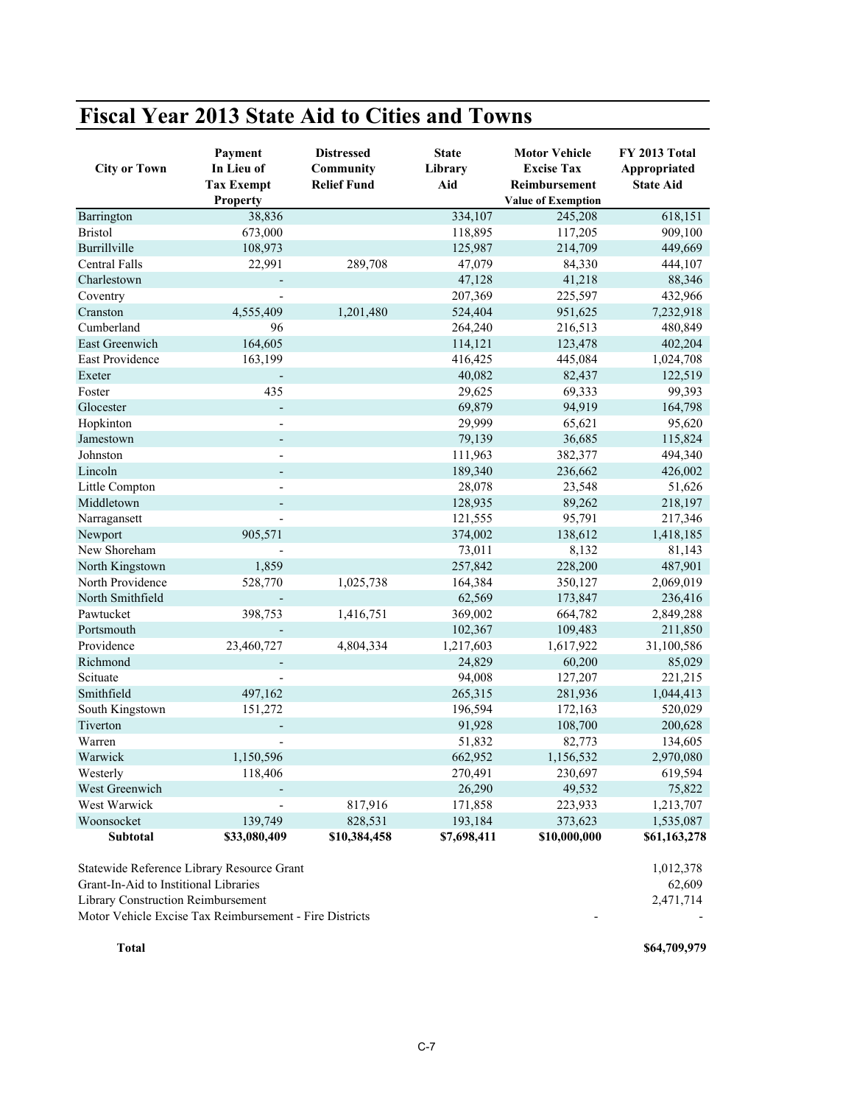| <b>Fiscal Year 2013 State Aid to Cities and Towns</b> |
|-------------------------------------------------------|
|-------------------------------------------------------|

| <b>City or Town</b>    | Payment<br>In Lieu of<br><b>Tax Exempt</b><br><b>Property</b> | <b>Distressed</b><br>Community<br><b>Relief Fund</b> | <b>State</b><br>Library<br>Aid | <b>Motor Vehicle</b><br><b>Excise Tax</b><br>Reimbursement<br><b>Value of Exemption</b> | FY 2013 Total<br>Appropriated<br><b>State Aid</b> |
|------------------------|---------------------------------------------------------------|------------------------------------------------------|--------------------------------|-----------------------------------------------------------------------------------------|---------------------------------------------------|
| Barrington             | 38,836                                                        |                                                      | 334,107                        | 245,208                                                                                 | 618,151                                           |
| <b>Bristol</b>         | 673,000                                                       |                                                      | 118,895                        | 117,205                                                                                 | 909,100                                           |
| Burrillville           | 108,973                                                       |                                                      | 125,987                        | 214,709                                                                                 | 449,669                                           |
| <b>Central Falls</b>   | 22,991                                                        | 289,708                                              | 47,079                         | 84,330                                                                                  | 444,107                                           |
| Charlestown            |                                                               |                                                      | 47,128                         | 41,218                                                                                  | 88,346                                            |
| Coventry               |                                                               |                                                      | 207,369                        | 225,597                                                                                 | 432,966                                           |
| Cranston               | 4,555,409                                                     | 1,201,480                                            | 524,404                        | 951,625                                                                                 | 7,232,918                                         |
| Cumberland             | 96                                                            |                                                      | 264,240                        | 216,513                                                                                 | 480,849                                           |
| East Greenwich         | 164,605                                                       |                                                      | 114,121                        | 123,478                                                                                 | 402,204                                           |
| <b>East Providence</b> | 163,199                                                       |                                                      | 416,425                        | 445,084                                                                                 | 1,024,708                                         |
| Exeter                 |                                                               |                                                      | 40,082                         | 82,437                                                                                  | 122,519                                           |
| Foster                 | 435                                                           |                                                      | 29,625                         | 69,333                                                                                  | 99,393                                            |
| Glocester              |                                                               |                                                      | 69,879                         | 94,919                                                                                  | 164,798                                           |
| Hopkinton              |                                                               |                                                      | 29,999                         | 65,621                                                                                  | 95,620                                            |
| Jamestown              |                                                               |                                                      | 79,139                         | 36,685                                                                                  | 115,824                                           |
| Johnston               |                                                               |                                                      | 111,963                        | 382,377                                                                                 | 494,340                                           |
| Lincoln                |                                                               |                                                      | 189,340                        | 236,662                                                                                 | 426,002                                           |
| Little Compton         |                                                               |                                                      | 28,078                         | 23,548                                                                                  | 51,626                                            |
| Middletown             |                                                               |                                                      | 128,935                        | 89,262                                                                                  | 218,197                                           |
| Narragansett           |                                                               |                                                      | 121,555                        | 95,791                                                                                  | 217,346                                           |
| Newport                | 905,571                                                       |                                                      | 374,002                        | 138,612                                                                                 | 1,418,185                                         |
| New Shoreham           |                                                               |                                                      | 73,011                         | 8,132                                                                                   | 81,143                                            |
| North Kingstown        | 1,859                                                         |                                                      | 257,842                        | 228,200                                                                                 | 487,901                                           |
| North Providence       | 528,770                                                       | 1,025,738                                            | 164,384                        | 350,127                                                                                 | 2,069,019                                         |
| North Smithfield       |                                                               |                                                      | 62,569                         | 173,847                                                                                 | 236,416                                           |
| Pawtucket              | 398,753                                                       | 1,416,751                                            | 369,002                        | 664,782                                                                                 | 2,849,288                                         |
| Portsmouth             |                                                               |                                                      | 102,367                        | 109,483                                                                                 | 211,850                                           |
| Providence             | 23,460,727                                                    | 4,804,334                                            | 1,217,603                      | 1,617,922                                                                               | 31,100,586                                        |
| Richmond               |                                                               |                                                      | 24,829                         | 60,200                                                                                  | 85,029                                            |
| Scituate               |                                                               |                                                      | 94,008                         | 127,207                                                                                 | 221,215                                           |
| Smithfield             | 497,162                                                       |                                                      | 265,315                        | 281,936                                                                                 | 1,044,413                                         |
| South Kingstown        | 151,272                                                       |                                                      | 196,594                        | 172,163                                                                                 | 520,029                                           |
| Tiverton               |                                                               |                                                      | 91,928                         | 108,700                                                                                 | 200,628                                           |
| Warren                 |                                                               |                                                      | 51,832                         | 82,773                                                                                  | 134,605                                           |
| Warwick                | 1,150,596                                                     |                                                      | 662,952                        | 1,156,532                                                                               | 2,970,080                                         |
| Westerly               | 118,406                                                       |                                                      | 270,491                        | 230,697                                                                                 | 619,594                                           |
| West Greenwich         |                                                               |                                                      | 26,290                         | 49,532                                                                                  | 75,822                                            |
| West Warwick           |                                                               | 817,916                                              | 171,858                        | 223,933                                                                                 | 1,213,707                                         |
| Woonsocket             | 139,749                                                       | 828,531                                              | 193,184                        | 373,623                                                                                 | 1,535,087                                         |
| <b>Subtotal</b>        | \$33,080,409                                                  | \$10,384,458                                         | \$7,698,411                    | \$10,000,000                                                                            | \$61,163,278                                      |

Statewide Reference Library Resource Grant 1,012,378<br>
Grant-In-Aid to Institional Libraries 62,609

Grant-In-Aid to Institional Libraries 62,609<br>
Library Construction Reimbursement 2,471,714

Library Construction Reimbursement

Motor Vehicle Excise Tax Reimbursement - Fire Districts - -

**Total \$64,709,979**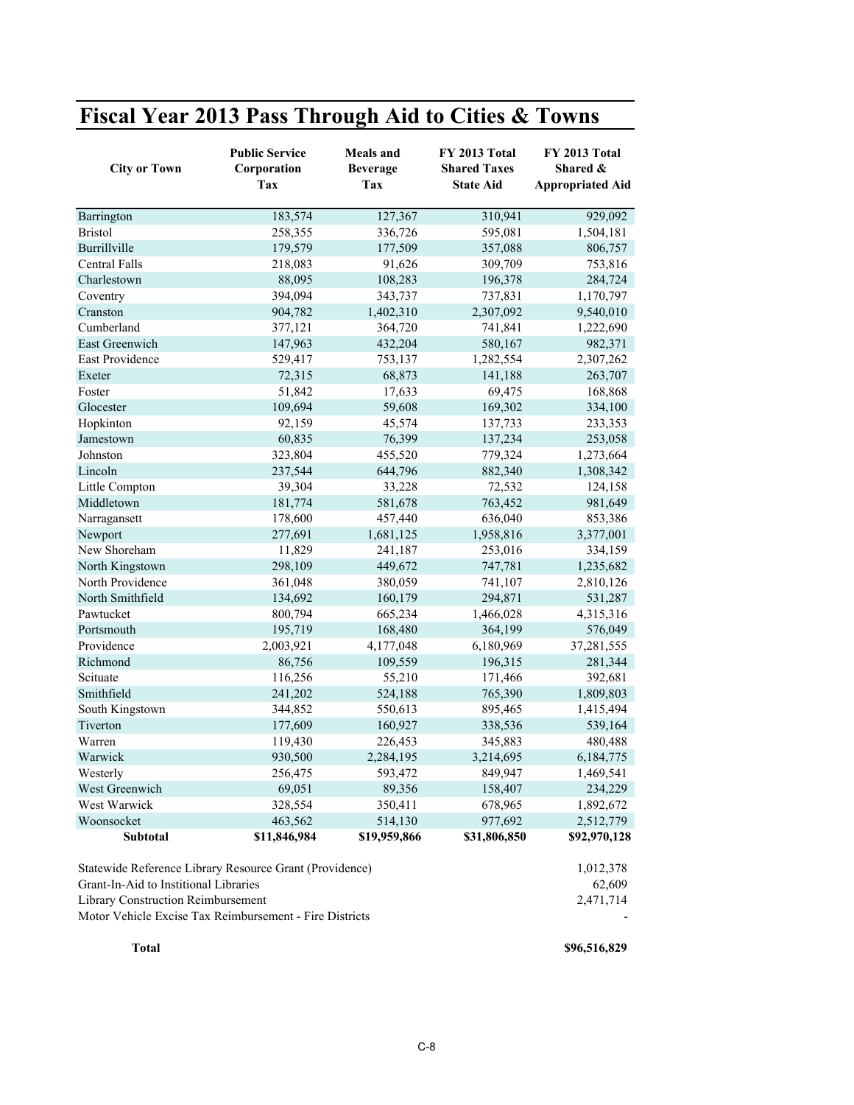## **Fiscal Year 2013 Pass Through Aid to Cities & Towns**

| <b>City or Town</b>                                     | <b>Public Service</b><br>Corporation<br>Tax | <b>Meals</b> and<br><b>Beverage</b><br>Tax | FY 2013 Total<br><b>Shared Taxes</b><br><b>State Aid</b> | FY 2013 Total<br>Shared &<br><b>Appropriated Aid</b> |
|---------------------------------------------------------|---------------------------------------------|--------------------------------------------|----------------------------------------------------------|------------------------------------------------------|
| Barrington                                              | 183,574                                     | 127,367                                    | 310,941                                                  | 929,092                                              |
| <b>Bristol</b>                                          | 258,355                                     | 336,726                                    | 595,081                                                  | 1,504,181                                            |
| Burrillville                                            | 179,579                                     | 177,509                                    | 357,088                                                  | 806,757                                              |
| Central Falls                                           | 218,083                                     | 91,626                                     | 309,709                                                  | 753,816                                              |
| Charlestown                                             | 88,095                                      | 108,283                                    | 196,378                                                  | 284,724                                              |
| Coventry                                                | 394,094                                     | 343,737                                    | 737,831                                                  | 1,170,797                                            |
| Cranston                                                | 904,782                                     | 1,402,310                                  | 2,307,092                                                | 9,540,010                                            |
| Cumberland                                              | 377,121                                     | 364,720                                    | 741,841                                                  | 1,222,690                                            |
| East Greenwich                                          | 147,963                                     | 432,204                                    | 580,167                                                  | 982,371                                              |
| East Providence                                         | 529,417                                     | 753,137                                    | 1,282,554                                                | 2,307,262                                            |
| Exeter                                                  | 72,315                                      | 68,873                                     | 141,188                                                  | 263,707                                              |
| Foster                                                  | 51,842                                      | 17,633                                     | 69,475                                                   | 168,868                                              |
| Glocester                                               | 109,694                                     | 59,608                                     | 169,302                                                  | 334,100                                              |
| Hopkinton                                               | 92,159                                      | 45,574                                     | 137,733                                                  | 233,353                                              |
| Jamestown                                               | 60,835                                      | 76,399                                     | 137,234                                                  | 253,058                                              |
| Johnston                                                | 323,804                                     | 455,520                                    | 779,324                                                  | 1,273,664                                            |
| Lincoln                                                 | 237,544                                     | 644,796                                    | 882,340                                                  | 1,308,342                                            |
| Little Compton                                          | 39,304                                      | 33,228                                     | 72,532                                                   | 124,158                                              |
| Middletown                                              | 181,774                                     | 581,678                                    | 763,452                                                  | 981,649                                              |
| Narragansett                                            | 178,600                                     | 457,440                                    | 636,040                                                  | 853,386                                              |
| Newport                                                 | 277,691                                     | 1,681,125                                  | 1,958,816                                                | 3,377,001                                            |
| New Shoreham                                            | 11,829                                      | 241,187                                    | 253,016                                                  | 334,159                                              |
| North Kingstown                                         | 298,109                                     | 449,672                                    | 747,781                                                  | 1,235,682                                            |
| North Providence                                        | 361,048                                     | 380,059                                    | 741,107                                                  | 2,810,126                                            |
| North Smithfield                                        | 134,692                                     | 160,179                                    | 294,871                                                  | 531,287                                              |
| Pawtucket                                               | 800,794                                     | 665,234                                    | 1,466,028                                                | 4,315,316                                            |
| Portsmouth                                              | 195,719                                     | 168,480                                    | 364,199                                                  | 576,049                                              |
| Providence                                              | 2,003,921                                   | 4,177,048                                  | 6,180,969                                                | 37,281,555                                           |
| Richmond                                                | 86,756                                      | 109,559                                    | 196,315                                                  | 281,344                                              |
| Scituate                                                | 116,256                                     | 55,210                                     | 171,466                                                  | 392,681                                              |
| Smithfield                                              | 241,202                                     | 524,188                                    | 765,390                                                  | 1,809,803                                            |
| South Kingstown                                         | 344,852                                     | 550,613                                    | 895,465                                                  | 1,415,494                                            |
| Tiverton                                                | 177,609                                     | 160,927                                    | 338,536                                                  | 539,164                                              |
| Warren                                                  | 119,430                                     | 226,453                                    | 345,883                                                  | 480,488                                              |
| Warwick                                                 | 930,500                                     | 2,284,195                                  | 3,214,695                                                | 6,184,775                                            |
| Westerly                                                | 256,475                                     | 593,472                                    | 849,947                                                  | 1,469,541                                            |
| West Greenwich                                          | 69,051                                      | 89,356                                     | 158,407                                                  | 234,229                                              |
| West Warwick                                            | 328,554                                     | 350,411                                    | 678,965                                                  | 1,892,672                                            |
| Woonsocket                                              | 463,562                                     | 514,130                                    | 977,692                                                  | 2,512,779                                            |
| <b>Subtotal</b>                                         | \$11,846,984                                | \$19,959,866                               | \$31,806,850                                             | \$92,970,128                                         |
|                                                         |                                             |                                            |                                                          |                                                      |
| Statewide Reference Library Resource Grant (Providence) |                                             |                                            |                                                          | 1,012,378                                            |
| Grant-In-Aid to Institional Libraries                   |                                             |                                            |                                                          | 62,609                                               |
| Library Construction Reimbursement                      | 2,471,714                                   |                                            |                                                          |                                                      |

Motor Vehicle Excise Tax Reimbursement - Fire Districts -

**Total \$96,516,829**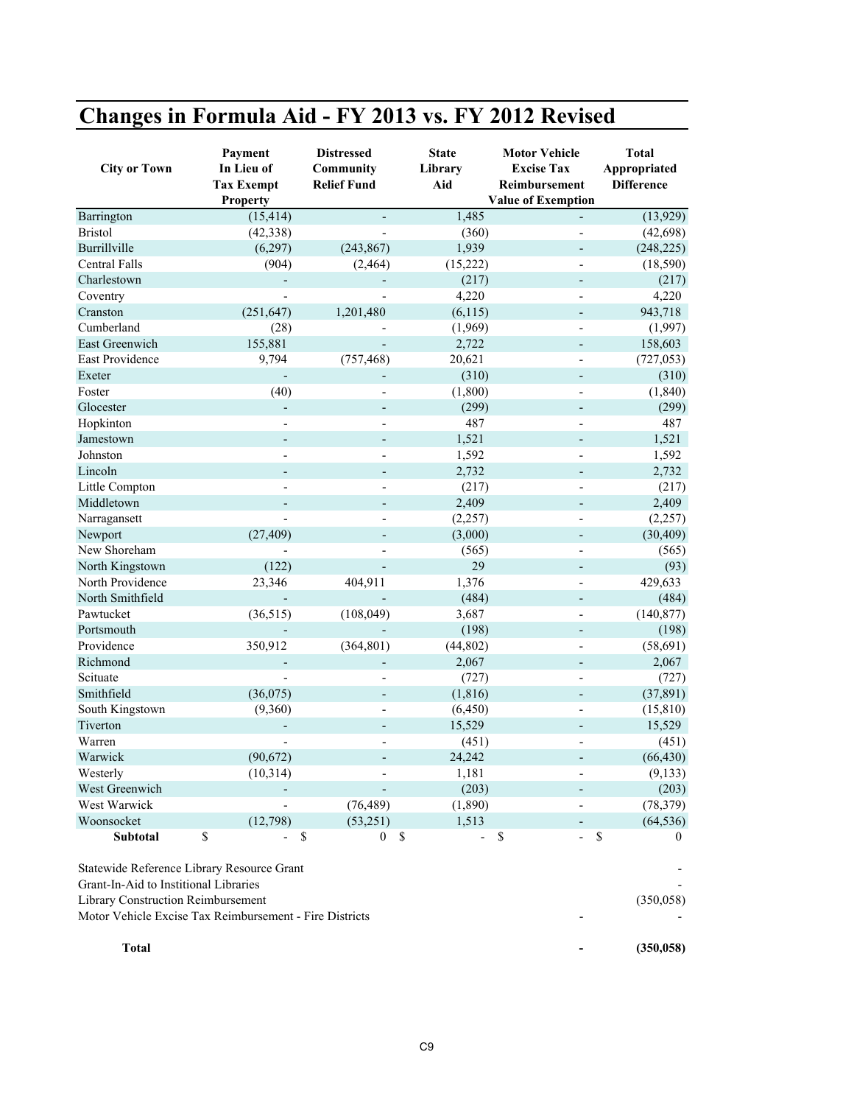## **Changes in Formula Aid - FY 2013 vs. FY 2012 Revised**

| <b>City or Town</b>                                     | Payment<br>In Lieu of<br><b>Tax Exempt</b><br><b>Property</b> | <b>Distressed</b><br>Community<br><b>Relief Fund</b> | <b>State</b><br>Library<br>Aid | <b>Motor Vehicle</b><br><b>Excise Tax</b><br>Reimbursement<br><b>Value of Exemption</b> | <b>Total</b><br>Appropriated<br><b>Difference</b> |
|---------------------------------------------------------|---------------------------------------------------------------|------------------------------------------------------|--------------------------------|-----------------------------------------------------------------------------------------|---------------------------------------------------|
| Barrington                                              | (15, 414)                                                     |                                                      | 1,485                          |                                                                                         | (13,929)                                          |
| <b>Bristol</b>                                          | (42, 338)                                                     |                                                      | (360)                          |                                                                                         | (42, 698)                                         |
| Burrillville                                            | (6,297)                                                       | (243, 867)                                           | 1,939                          |                                                                                         | (248, 225)                                        |
| <b>Central Falls</b>                                    | (904)                                                         | (2, 464)                                             | (15, 222)                      |                                                                                         | (18, 590)                                         |
| Charlestown                                             |                                                               |                                                      | (217)                          |                                                                                         | (217)                                             |
| Coventry                                                |                                                               |                                                      | 4,220                          |                                                                                         | 4,220                                             |
| Cranston                                                | (251, 647)                                                    | 1,201,480                                            | (6,115)                        |                                                                                         | 943,718                                           |
| Cumberland                                              | (28)                                                          |                                                      | (1,969)                        |                                                                                         | (1,997)                                           |
| East Greenwich                                          | 155,881                                                       |                                                      | 2,722                          |                                                                                         | 158,603                                           |
| East Providence                                         | 9,794                                                         | (757, 468)                                           | 20,621                         |                                                                                         | (727, 053)                                        |
| Exeter                                                  |                                                               |                                                      | (310)                          |                                                                                         | (310)                                             |
| Foster                                                  | (40)                                                          |                                                      | (1,800)                        |                                                                                         | (1, 840)                                          |
| Glocester                                               | $\overline{\phantom{m}}$                                      | $\overline{\phantom{m}}$                             | (299)                          |                                                                                         | (299)                                             |
| Hopkinton                                               |                                                               |                                                      | 487                            |                                                                                         | 487                                               |
| Jamestown                                               | $\overline{a}$                                                |                                                      | 1,521                          |                                                                                         | 1,521                                             |
| Johnston                                                |                                                               |                                                      | 1,592                          |                                                                                         | 1,592                                             |
| Lincoln                                                 | $\overline{a}$                                                | $\overline{\phantom{a}}$                             | 2,732                          | $\overline{a}$                                                                          | 2,732                                             |
| Little Compton                                          |                                                               |                                                      | (217)                          |                                                                                         | (217)                                             |
| Middletown                                              |                                                               |                                                      | 2,409                          |                                                                                         | 2,409                                             |
| Narragansett                                            |                                                               |                                                      | (2,257)                        |                                                                                         | (2,257)                                           |
| Newport                                                 | (27, 409)                                                     |                                                      | (3,000)                        |                                                                                         | (30, 409)                                         |
| New Shoreham                                            |                                                               |                                                      | (565)                          |                                                                                         | (565)                                             |
| North Kingstown                                         | (122)                                                         |                                                      | 29                             |                                                                                         | (93)                                              |
| North Providence                                        | 23,346                                                        | 404,911                                              | 1,376                          |                                                                                         | 429,633                                           |
| North Smithfield                                        |                                                               |                                                      | (484)                          |                                                                                         | (484)                                             |
| Pawtucket                                               | (36, 515)                                                     | (108, 049)                                           | 3,687                          |                                                                                         | (140, 877)                                        |
| Portsmouth                                              |                                                               |                                                      | (198)                          | $\overline{\phantom{a}}$                                                                | (198)                                             |
| Providence                                              | 350,912                                                       | (364, 801)                                           | (44, 802)                      |                                                                                         | (58, 691)                                         |
| Richmond                                                |                                                               |                                                      | 2,067                          |                                                                                         | 2,067                                             |
| Scituate                                                |                                                               |                                                      | (727)                          | L,                                                                                      | (727)                                             |
| Smithfield                                              | (36,075)                                                      |                                                      | (1, 816)                       |                                                                                         | (37, 891)                                         |
| South Kingstown                                         | (9,360)                                                       |                                                      | (6, 450)                       |                                                                                         | (15, 810)                                         |
| Tiverton                                                |                                                               |                                                      | 15,529                         |                                                                                         | 15,529                                            |
| Warren                                                  |                                                               |                                                      | (451)                          |                                                                                         | (451)                                             |
| Warwick                                                 | (90,672)                                                      |                                                      | 24,242                         |                                                                                         | (66, 430)                                         |
| Westerly                                                | (10, 314)                                                     |                                                      | 1,181                          |                                                                                         | (9,133)                                           |
| West Greenwich                                          |                                                               |                                                      | (203)                          |                                                                                         | (203)                                             |
| West Warwick                                            |                                                               | (76, 489)                                            | (1,890)                        |                                                                                         | (78, 379)                                         |
| Woonsocket                                              | (12,798)                                                      | (53,251)                                             | 1,513                          |                                                                                         | (64, 536)                                         |
| Subtotal                                                | \$                                                            | $\$$<br>$\mathbf{0}$                                 | \$<br>$\frac{1}{2}$            | \$<br>$\overline{a}$                                                                    | $\mathbb{S}$<br>$\left($                          |
| Statewide Reference Library Resource Grant              |                                                               |                                                      |                                |                                                                                         |                                                   |
| Grant-In-Aid to Institional Libraries                   |                                                               |                                                      |                                |                                                                                         |                                                   |
| Library Construction Reimbursement                      |                                                               |                                                      |                                |                                                                                         | (350, 058)                                        |
| Motor Vehicle Excise Tax Reimbursement - Fire Districts |                                                               |                                                      |                                |                                                                                         |                                                   |
| <b>Total</b>                                            |                                                               |                                                      |                                |                                                                                         | (350, 058)                                        |